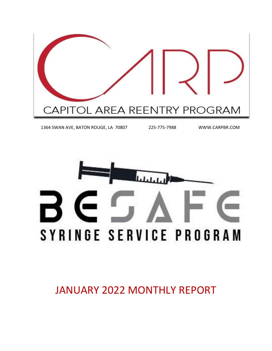

1364 SWAN AVE, BATON ROUGE, LA 70807 225-775-7988 WWW.CARPBR.COM



JANUARY 2022 MONTHLY REPORT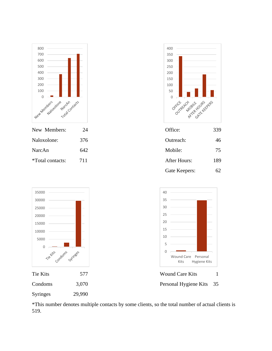

\*This number denotes multiple contacts by some clients, so the total number of actual clients is 519.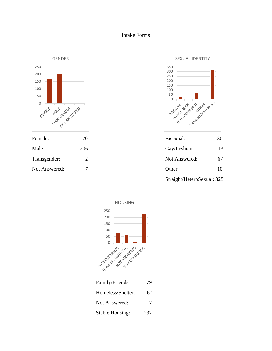#### Intake Forms







Not Answered:

Stable Housing: 232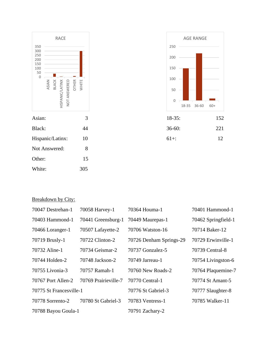



# Breakdown by City:

| 70047 Destrehan-1       | 70058 Harvey-1       | 70364 Houma-1           | 70401 Hammond-1     |
|-------------------------|----------------------|-------------------------|---------------------|
| 70403 Hammond-1         | 70441 Greensburg-1   | 70449 Maurepas-1        | 70462 Springfield-1 |
| 70466 Loranger-1        | 70507 Lafayette-2    | 70706 Watston-16        | 70714 Baker-12      |
| 70719 Brusly-1          | 70722 Clinton-2      | 70726 Denham Springs-29 | 70729 Erwinville-1  |
| 70732 Aline-1           | 70734 Geismar-2      | 70737 Gonzalez-5        | 70739 Central-8     |
| 70744 Holden-2          | 70748 Jackson-2      | 70749 Jarreau-1         | 70754 Livingston-6  |
| 70755 Livonia-3         | 70757 Ramah-1        | 70760 New Roads-2       | 70764 Plaquemine-7  |
| 70767 Port Allen-2      | 70769 Prairieville-7 | 70770 Central-1         | 70774 St Amant-5    |
| 70775 St Francesville-1 |                      | 70776 St Gabriel-3      | 70777 Slaughter-8   |
| 70778 Sorrento-2        | 70780 St Gabriel-3   | 70783 Ventress-1        | 70785 Walker-11     |
| 70788 Bayou Goula-1     |                      | 70791 Zachary-2         |                     |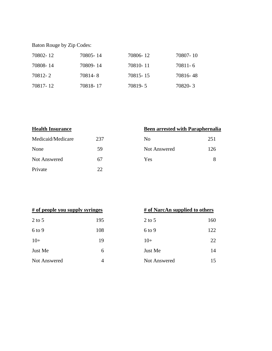Baton Rouge by Zip Codes:

| 70802-12 | 70805-14 | 70806-12   | 70807-10 |
|----------|----------|------------|----------|
| 70808-14 | 70809-14 | 70810-11   | 70811-6  |
| 70812-2  | 70814-8  | 70815 - 15 | 70816-48 |
| 70817-12 | 70818-17 | 70819-5    | 70820-3  |

| <b>Health Insurance</b> |     | <b>Been arrested with Paraphernalia</b> |     |
|-------------------------|-----|-----------------------------------------|-----|
| Medicaid/Medicare       | 237 | No                                      | 251 |
| None                    | 59  | Not Answered                            | 126 |
| Not Answered            | 67  | <b>Yes</b>                              | 8   |
| Private                 | 22. |                                         |     |

| # of people you supply syringes |     | # of NarcAn supplied to others |     |
|---------------------------------|-----|--------------------------------|-----|
| $2$ to 5                        | 195 | $2$ to 5                       | 160 |
| $6$ to 9                        | 108 | $6$ to 9                       | 122 |
| $10+$                           | 19  | $10+$                          | 22  |
| Just Me                         | 6   | Just Me                        | 14  |
| Not Answered                    | 4   | Not Answered                   | 15  |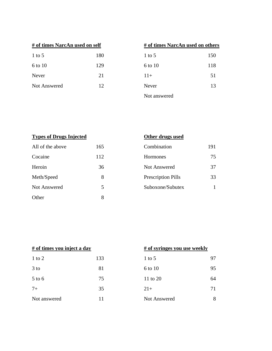| # of times NarcAn used on self |     | # of times NarcAn used on others |     |
|--------------------------------|-----|----------------------------------|-----|
| $1$ to 5                       | 180 | $1$ to 5                         | 150 |
| 6 to 10                        | 129 | 6 to 10                          | 118 |
| Never                          | 21  | $11+$                            | 51  |
| <b>Not Answered</b>            | 12  | Never                            | 13  |
|                                |     | $\mathbf{r}$                     |     |

| # of times NarcAn used on others |     |
|----------------------------------|-----|
| 1 to 5                           | 150 |
| 6 to 10                          | 118 |
| $11+$                            | 51  |
| Never                            | 13  |
| Not answered                     |     |

| <b>Types of Drugs Injected</b> |     | Other drugs used          |     |
|--------------------------------|-----|---------------------------|-----|
| All of the above               | 165 | Combination               | 191 |
| Cocaine                        | 112 | <b>Hormones</b>           | 75  |
| Heroin                         | 36  | Not Answered              | 37  |
| Meth/Speed                     | 8   | <b>Prescription Pills</b> | 33  |
| <b>Not Answered</b>            | 5   | Suboxone/Subutex          |     |
| Other                          | 8   |                           |     |

| # of times you inject a day |     |              | # of syringes you use weekly |  |
|-----------------------------|-----|--------------|------------------------------|--|
| $1$ to $2$                  | 133 | $1$ to 5     | 97                           |  |
| $3$ to                      | 81  | 6 to 10      | 95                           |  |
| $5$ to $6$                  | 75  | 11 to 20     | 64                           |  |
| $7+$                        | 35  | $21+$        | 71                           |  |
| Not answered                | 11  | Not Answered | 8                            |  |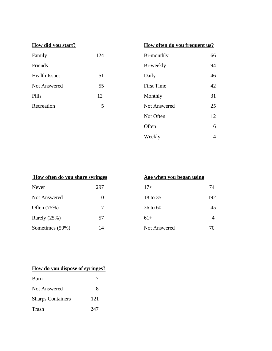| How did you start?   |     |                   | How often do you frequent us? |  |
|----------------------|-----|-------------------|-------------------------------|--|
| Family               | 124 | Bi-monthly        | 66                            |  |
| Friends              |     | Bi-weekly         | 94                            |  |
| <b>Health Issues</b> | 51  | Daily             | 46                            |  |
| <b>Not Answered</b>  | 55  | <b>First Time</b> | 42                            |  |
| Pills                | 12  | Monthly           | 31                            |  |
| Recreation           | 5   | Not Answered      | 25                            |  |
|                      |     | Not Often         | 12                            |  |
|                      |     | Often             | 6                             |  |
|                      |     | Weekly            | $\overline{4}$                |  |

| How often do you share syringes |     | Age when you began using |     |
|---------------------------------|-----|--------------------------|-----|
| Never                           | 297 | 17<                      | 74  |
| Not Answered                    | 10  | 18 to 35                 | 192 |
| Often (75%)                     | 7   | $36$ to 60               | 45  |
| Rarely $(25%)$                  | 57  | $61+$                    | 4   |
| Sometimes (50%)                 | 14  | Not Answered             | 70  |

| Age when you began using |     |
|--------------------------|-----|
| 17<                      | 74  |
| 18 to 35                 | 192 |
| 36 to 60                 | 45  |
| $61+$                    | Δ   |
| Not Answered             | 70  |

## **How do you dispose of syringes?**

| Burn                     |     |
|--------------------------|-----|
| <b>Not Answered</b>      | 8   |
| <b>Sharps Containers</b> | 121 |
| Trash                    | 247 |